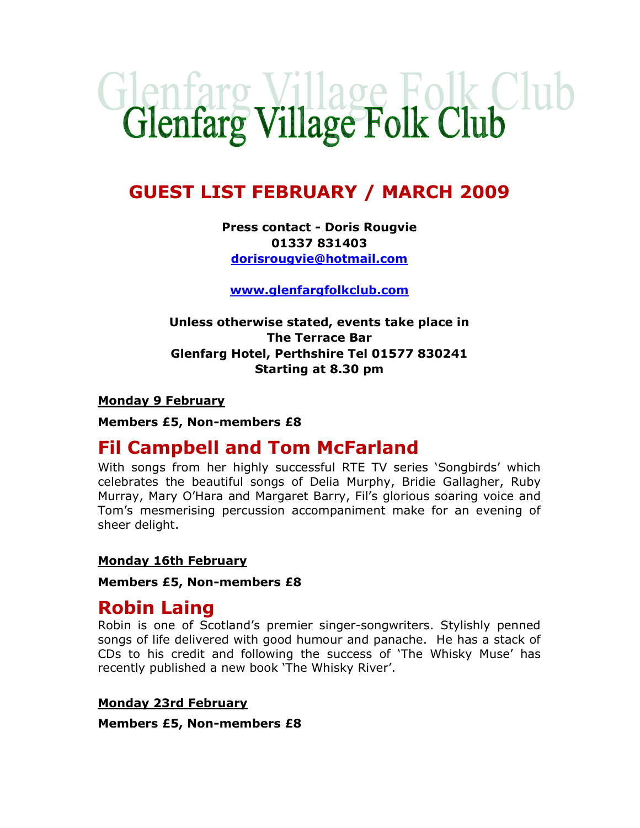# Glenfarg Village Folk Club

# GUEST LIST FEBRUARY / MARCH 2009

## Press contact - Doris Rougvie 01337 831403 dorisrougvie@hotmail.com

www.glenfargfolkclub.com

## Unless otherwise stated, events take place in The Terrace Bar Glenfarg Hotel, Perthshire Tel 01577 830241 Starting at 8.30 pm

#### **Monday 9 February**

Members £5, Non-members £8

# Fil Campbell and Tom McFarland

With songs from her highly successful RTE TV series 'Songbirds' which celebrates the beautiful songs of Delia Murphy, Bridie Gallagher, Ruby Murray, Mary O'Hara and Margaret Barry, Fil's glorious soaring voice and Tom's mesmerising percussion accompaniment make for an evening of sheer delight.

#### Monday 16th February

Members £5, Non-members £8

## Robin Laing

Robin is one of Scotland's premier singer-songwriters. Stylishly penned songs of life delivered with good humour and panache. He has a stack of CDs to his credit and following the success of 'The Whisky Muse' has recently published a new book 'The Whisky River'.

Monday 23rd February

Members £5, Non-members £8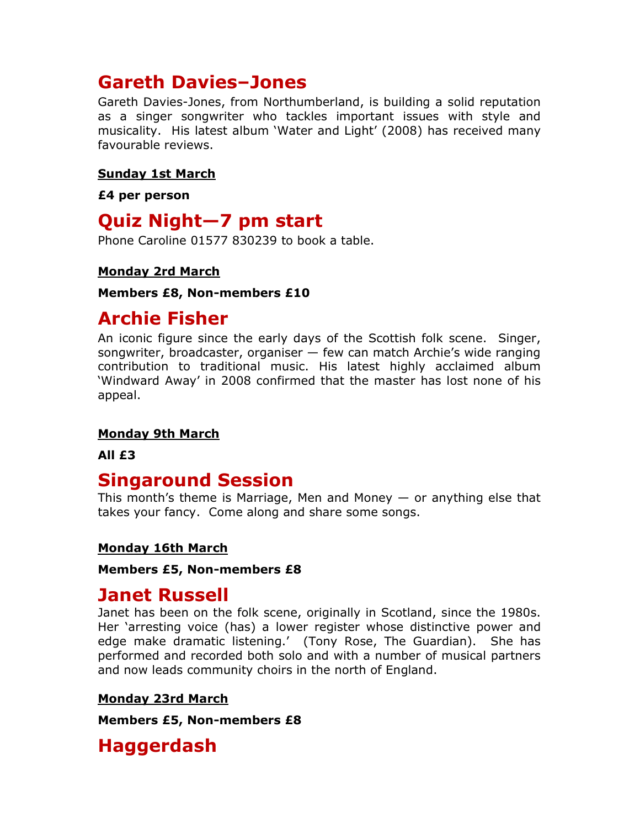# Gareth Davies–Jones

Gareth Davies-Jones, from Northumberland, is building a solid reputation as a singer songwriter who tackles important issues with style and musicality. His latest album 'Water and Light' (2008) has received many favourable reviews.

#### Sunday 1st March

£4 per person

## Quiz Night—7 pm start

Phone Caroline 01577 830239 to book a table.

## Monday 2rd March

#### Members £8, Non-members £10

# Archie Fisher

An iconic figure since the early days of the Scottish folk scene. Singer, songwriter, broadcaster, organiser — few can match Archie's wide ranging contribution to traditional music. His latest highly acclaimed album 'Windward Away' in 2008 confirmed that the master has lost none of his appeal.

## Monday 9th March

All £3

## Singaround Session

This month's theme is Marriage, Men and Money  $-$  or anything else that takes your fancy. Come along and share some songs.

## Monday 16th March

#### Members £5, Non-members £8

## Janet Russell

Janet has been on the folk scene, originally in Scotland, since the 1980s. Her 'arresting voice (has) a lower register whose distinctive power and edge make dramatic listening.' (Tony Rose, The Guardian). She has performed and recorded both solo and with a number of musical partners and now leads community choirs in the north of England.

## Monday 23rd March

Members £5, Non-members £8

# Haggerdash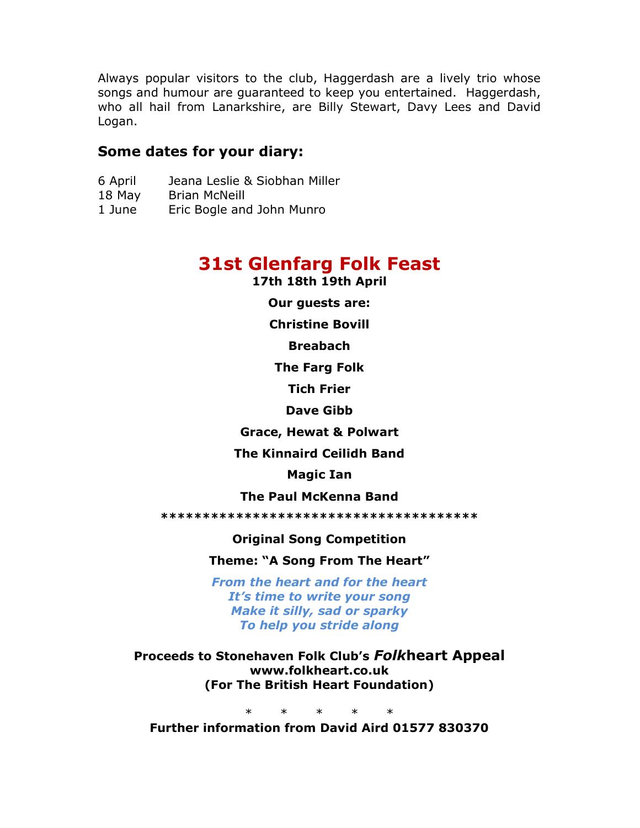Always popular visitors to the club, Haggerdash are a lively trio whose songs and humour are guaranteed to keep you entertained. Haggerdash, who all hail from Lanarkshire, are Billy Stewart, Davy Lees and David Logan.

## Some dates for your diary:

- 6 April Jeana Leslie & Siobhan Miller
- 18 May Brian McNeill
- 1 June Eric Bogle and John Munro

# 31st Glenfarg Folk Feast

17th 18th 19th April

Our guests are:

Christine Bovill

Breabach

The Farg Folk

Tich Frier

Dave Gibb

Grace, Hewat & Polwart

The Kinnaird Ceilidh Band

Magic Ian

The Paul McKenna Band

\*\*\*\*\*\*\*\*\*\*\*\*\*\*\*\*\*\*\*\*\*\*\*\*\*\*\*\*\*\*\*\*\*\*\*\*\*\*

Original Song Competition

Theme: "A Song From The Heart"

From the heart and for the heart It's time to write your song Make it silly, sad or sparky To help you stride along

Proceeds to Stonehaven Folk Club's Folkheart Appeal www.folkheart.co.uk (For The British Heart Foundation)

\* \* \* \* \* Further information from David Aird 01577 830370